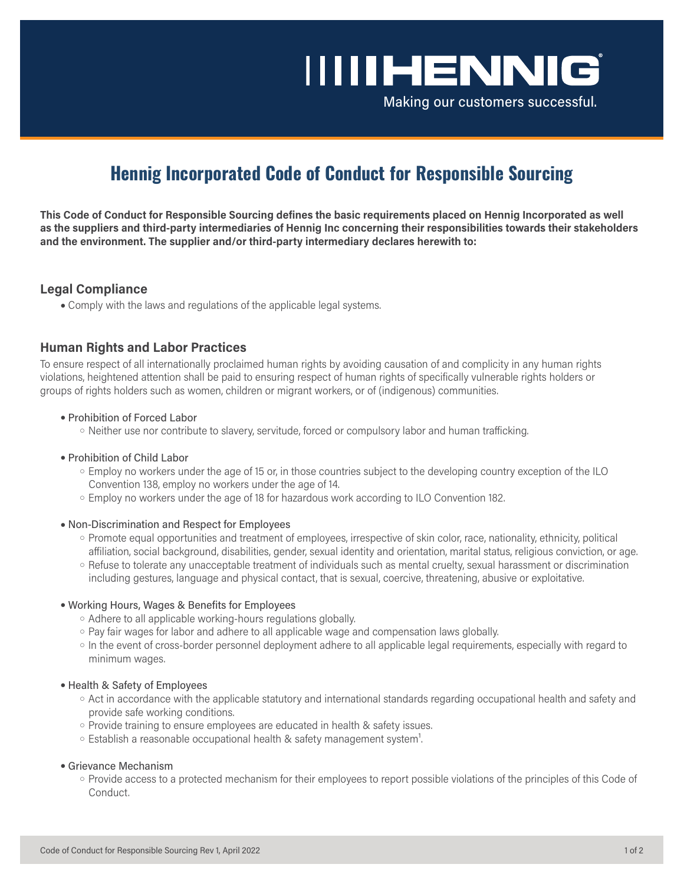# **IIIIHENNIG**

Making our customers successful.

# **Hennig Incorporated Code of Conduct for Responsible Sourcing**

**This Code of Conduct for Responsible Sourcing defines the basic requirements placed on Hennig Incorporated as well as the suppliers and third-party intermediaries of Hennig Inc concerning their responsibilities towards their stakeholders and the environment. The supplier and/or third-party intermediary declares herewith to:**

# **Legal Compliance**

• Comply with the laws and regulations of the applicable legal systems.

# **Human Rights and Labor Practices**

To ensure respect of all internationally proclaimed human rights by avoiding causation of and complicity in any human rights violations, heightened attention shall be paid to ensuring respect of human rights of specifically vulnerable rights holders or groups of rights holders such as women, children or migrant workers, or of (indigenous) communities.

## ● Prohibition of Forced Labor

- Neither use nor contribute to slavery, servitude, forced or compulsory labor and human trafficking.
- Prohibition of Child Labor
	- Employ no workers under the age of 15 or, in those countries subject to the developing country exception of the ILO Convention 138, employ no workers under the age of 14.
	- Employ no workers under the age of 18 for hazardous work according to ILO Convention 182.

## ● Non-Discrimination and Respect for Employees

- Promote equal opportunities and treatment of employees, irrespective of skin color, race, nationality, ethnicity, political affiliation, social background, disabilities, gender, sexual identity and orientation, marital status, religious conviction, or age.
- Refuse to tolerate any unacceptable treatment of individuals such as mental cruelty, sexual harassment or discrimination including gestures, language and physical contact, that is sexual, coercive, threatening, abusive or exploitative.

## ● Working Hours, Wages & Benefits for Employees

- Adhere to all applicable working-hours regulations globally.
- Pay fair wages for labor and adhere to all applicable wage and compensation laws globally.
- In the event of cross-border personnel deployment adhere to all applicable legal requirements, especially with regard to minimum wages.

## ● Health & Safety of Employees

- Act in accordance with the applicable statutory and international standards regarding occupational health and safety and provide safe working conditions.
- Provide training to ensure employees are educated in health & safety issues.
- $\circ$  Establish a reasonable occupational health & safety management system<sup>1</sup>.

## ● Grievance Mechanism

○ Provide access to a protected mechanism for their employees to report possible violations of the principles of this Code of Conduct.